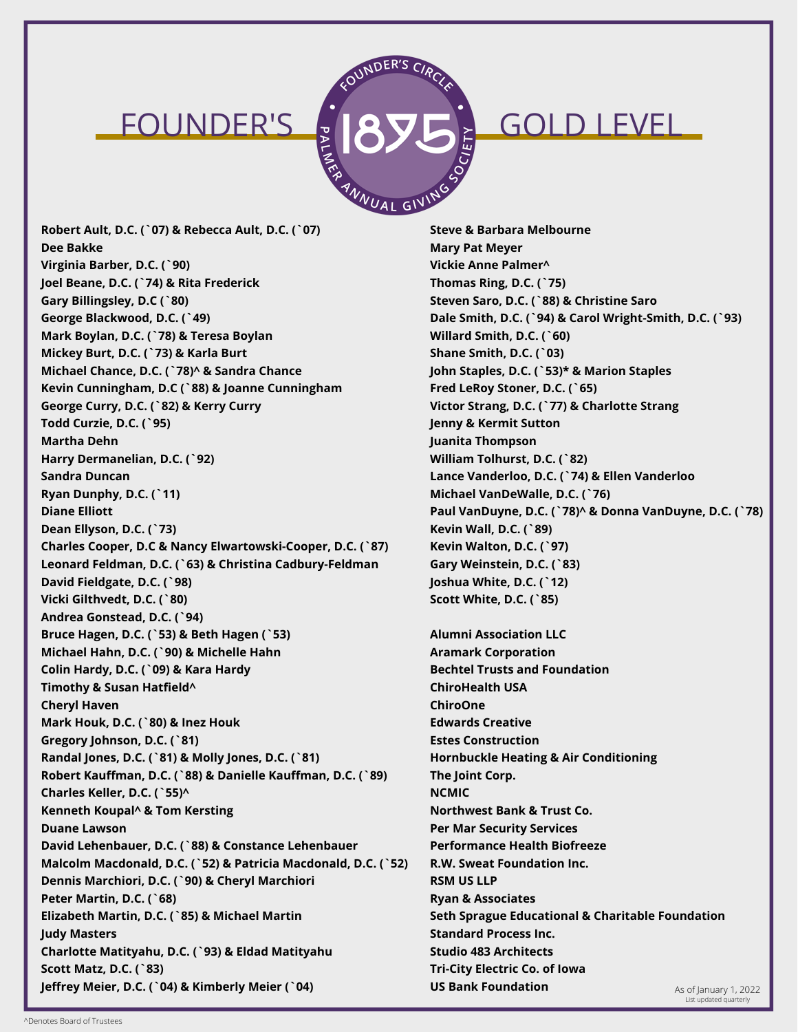### FOUNDER'S JRVE GOLD LEVEL



**Robert Ault, D.C. (`07) & Rebecca Ault, D.C. (`07) Dee Bakke Virginia Barber, D.C. (`90) Joel Beane, D.C. (`74) & Rita Frederick Gary Billingsley, D.C (`80) George Blackwood, D.C. (`49) Mark Boylan, D.C. (`78) & Teresa Boylan Mickey Burt, D.C. (`73) & Karla Burt Michael Chance, D.C. (`78)^ & Sandra Chance Kevin Cunningham, D.C (`88) & Joanne Cunningham George Curry, D.C. (`82) & Kerry Curry Todd Curzie, D.C. (`95) Martha Dehn Harry Dermanelian, D.C. (`92) Sandra Duncan Ryan Dunphy, D.C. (`11) Diane Elliott Dean Ellyson, D.C. (`73) Charles Cooper, D.C & Nancy Elwartowski-Cooper, D.C. (`87) Leonard Feldman, D.C. (`63) & Christina Cadbury-Feldman David Fieldgate, D.C. (`98) Vicki Gilthvedt, D.C. (`80) Andrea Gonstead, D.C. (`94) Bruce Hagen, D.C. (`53) & Beth Hagen (`53) Michael Hahn, D.C. (`90) & Michelle Hahn Colin Hardy, D.C. (`09) & Kara Hardy Timothy & Susan Hatfield^ Cheryl Haven Mark Houk, D.C. (`80) & Inez Houk Gregory Johnson, D.C. (`81) Randal Jones, D.C. (`81) & Molly Jones, D.C. (`81) Robert Kauffman, D.C. (`88) & Danielle Kauffman, D.C. (`89) Charles Keller, D.C. (`55)^ Kenneth Koupal^ & Tom Kersting Duane Lawson David Lehenbauer, D.C. (`88) & Constance Lehenbauer Malcolm Macdonald, D.C. (`52) & Patricia Macdonald, D.C. (`52) Dennis Marchiori, D.C. (`90) & Cheryl Marchiori Peter Martin, D.C. (`68) Elizabeth Martin, D.C. (`85) & Michael Martin Judy Masters Charlotte Matityahu, D.C. (`93) & Eldad Matityahu Scott Matz, D.C. (`83) Jeffrey Meier, D.C. (`04) & Kimberly Meier (`04) As of January 1, 2022 US Bank Foundation** As of January 1, 2022

**Steve & Barbara Melbourne Mary Pat Meyer Vickie Anne Palmer^ Thomas Ring, D.C. (`75) Steven Saro, D.C. (`88) & Christine Saro Dale Smith, D.C. (`94) & Carol Wright-Smith, D.C. (`93) Willard Smith, D.C. (`60) Shane Smith, D.C. (`03) John Staples, D.C. (`53)\* & Marion Staples Fred LeRoy Stoner, D.C. (`65) Victor Strang, D.C. (`77) & Charlotte Strang Jenny & Kermit Sutton Juanita Thompson William Tolhurst, D.C. (`82) Lance Vanderloo, D.C. (`74) & Ellen Vanderloo Michael VanDeWalle, D.C. (`76) Paul VanDuyne, D.C. (`78)^ & Donna VanDuyne, D.C. (`78) Kevin Wall, D.C. (`89) Kevin Walton, D.C. (`97) Gary Weinstein, D.C. (`83) Joshua White, D.C. (`12) Scott White, D.C. (`85)**

**Alumni Association LLC Aramark Corporation Bechtel Trusts and Foundation ChiroHealth USA ChiroOne Edwards Creative Estes Construction Hornbuckle Heating & Air Conditioning The Joint Corp. NCMIC Northwest Bank & Trust Co. Per Mar Security Services Performance Health Biofreeze R.W. Sweat Foundation Inc. RSM US LLP Ryan & Associates Seth Sprague Educational & Charitable Foundation Standard Process Inc. Studio 483 Architects Tri-City Electric Co. of Iowa US Bank Foundation**

^Denotes Board of Trustees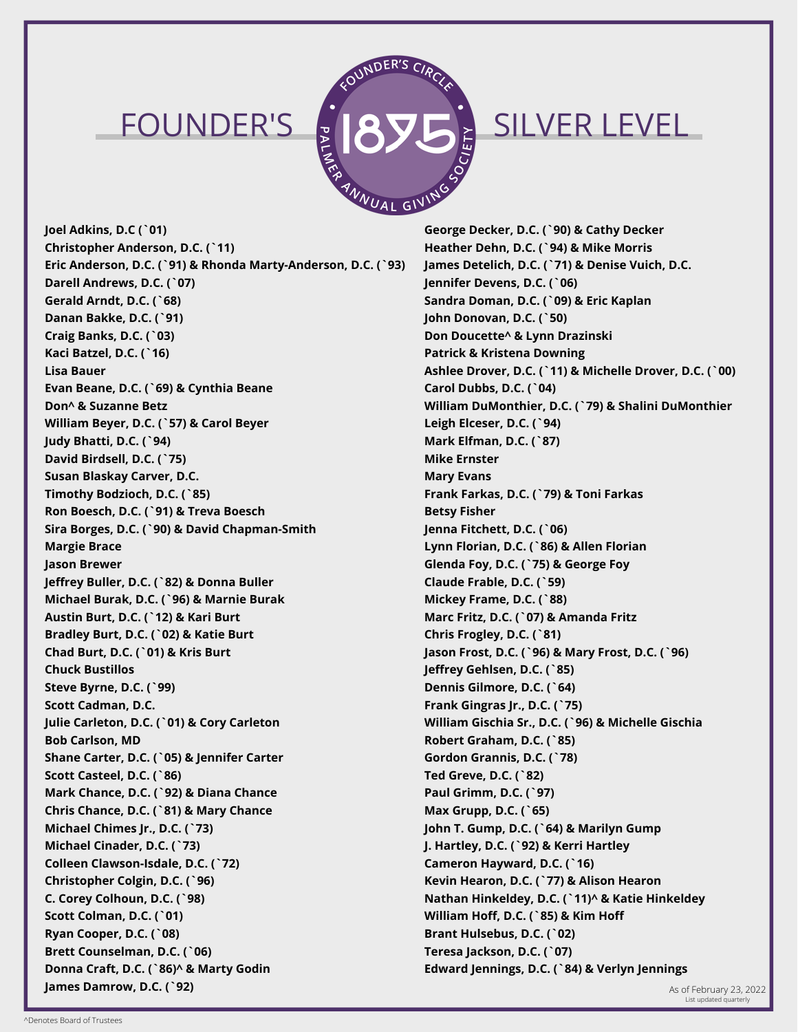

### FOUNDER'S JAVE SILVER LEVEL

**Joel Adkins, D.C (`01) Christopher Anderson, D.C. (`11) Eric Anderson, D.C. (`91) & Rhonda Marty-Anderson, D.C. (`93) Darell Andrews, D.C. (`07) Gerald Arndt, D.C. (`68) Danan Bakke, D.C. (`91) Craig Banks, D.C. (`03) Kaci Batzel, D.C. (`16) Lisa Bauer Evan Beane, D.C. (`69) & Cynthia Beane Don^ & Suzanne Betz William Beyer, D.C. (`57) & Carol Beyer Judy Bhatti, D.C. (`94) David Birdsell, D.C. (`75) Susan Blaskay Carver, D.C. Timothy Bodzioch, D.C. (`85) Ron Boesch, D.C. (`91) & Treva Boesch Sira Borges, D.C. (`90) & David Chapman-Smith Margie Brace Jason Brewer Jeffrey Buller, D.C. (`82) & Donna Buller Michael Burak, D.C. (`96) & Marnie Burak Austin Burt, D.C. (`12) & Kari Burt Bradley Burt, D.C. (`02) & Katie Burt Chad Burt, D.C. (`01) & Kris Burt Chuck Bustillos Steve Byrne, D.C. (`99) Scott Cadman, D.C. Julie Carleton, D.C. (`01) & Cory Carleton Bob Carlson, MD Shane Carter, D.C. (`05) & Jennifer Carter Scott Casteel, D.C. (`86) Mark Chance, D.C. (`92) & Diana Chance Chris Chance, D.C. (`81) & Mary Chance Michael Chimes Jr., D.C. (`73) Michael Cinader, D.C. (`73) Colleen Clawson-Isdale, D.C. (`72) Christopher Colgin, D.C. (`96) C. Corey Colhoun, D.C. (`98) Scott Colman, D.C. (`01) Ryan Cooper, D.C. (`08) Brett Counselman, D.C. (`06) Donna Craft, D.C. (`86)^ & Marty Godin James Damrow, D.C. (`92)** As of February 23, 2022

**George Decker, D.C. (`90) & Cathy Decker Heather Dehn, D.C. (`94) & Mike Morris James Detelich, D.C. (`71) & Denise Vuich, D.C. Jennifer Devens, D.C. (`06) Sandra Doman, D.C. (`09) & Eric Kaplan John Donovan, D.C. (`50) Don Doucette^ & Lynn Drazinski Patrick & Kristena Downing Ashlee Drover, D.C. (`11) & Michelle Drover, D.C. (`00) Carol Dubbs, D.C. (`04) William DuMonthier, D.C. (`79) & Shalini DuMonthier Leigh Elceser, D.C. (`94) Mark Elfman, D.C. (`87) Mike Ernster Mary Evans Frank Farkas, D.C. (`79) & Toni Farkas Betsy Fisher Jenna Fitchett, D.C. (`06) Lynn Florian, D.C. (`86) & Allen Florian Glenda Foy, D.C. (`75) & George Foy Claude Frable, D.C. (`59) Mickey Frame, D.C. (`88) Marc Fritz, D.C. (`07) & Amanda Fritz Chris Frogley, D.C. (`81) Jason Frost, D.C. (`96) & Mary Frost, D.C. (`96) Jeffrey Gehlsen, D.C. (`85) Dennis Gilmore, D.C. (`64) Frank Gingras Jr., D.C. (`75) William Gischia Sr., D.C. (`96) & Michelle Gischia Robert Graham, D.C. (`85) Gordon Grannis, D.C. (`78) Ted Greve, D.C. (`82) Paul Grimm, D.C. (`97) Max Grupp, D.C. (`65) John T. Gump, D.C. (`64) & Marilyn Gump J. Hartley, D.C. (`92) & Kerri Hartley Cameron Hayward, D.C. (`16) Kevin Hearon, D.C. (`77) & Alison Hearon Nathan Hinkeldey, D.C. (`11)^ & Katie Hinkeldey William Hoff, D.C. (`85) & Kim Hoff Brant Hulsebus, D.C. (`02) Teresa Jackson, D.C. (`07) Edward Jennings, D.C. (`84) & Verlyn Jennings**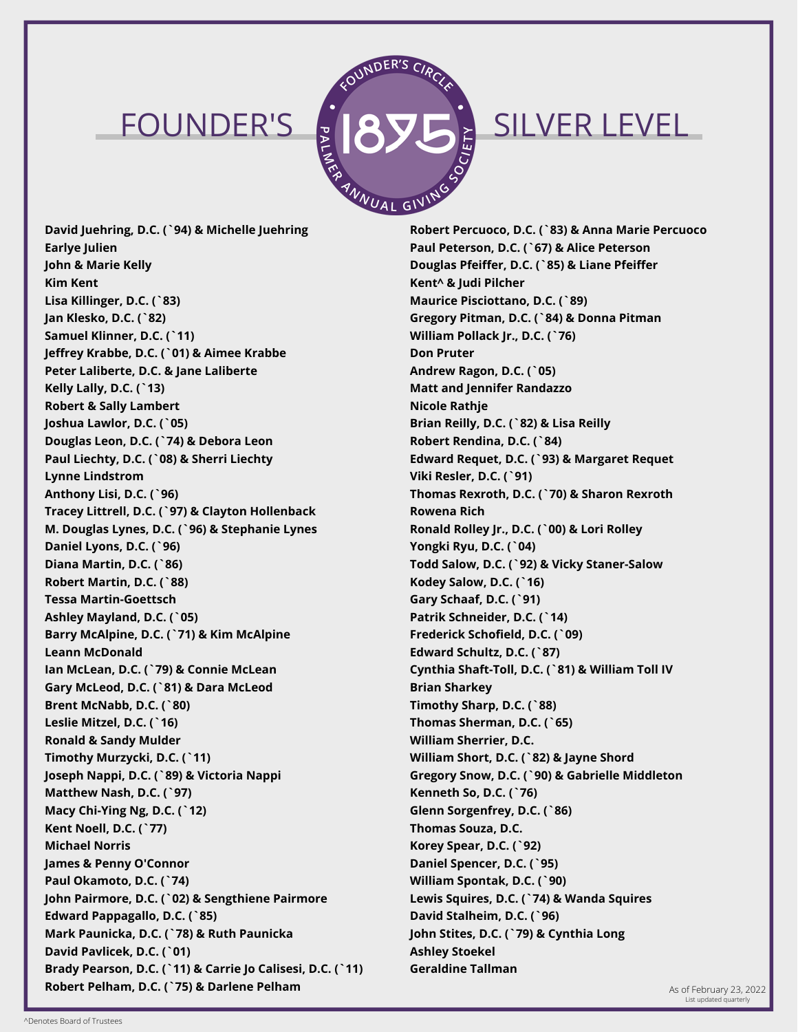

# FOUNDER'S JAVE SILVER LEVEL

**David Juehring, D.C. (`94) & Michelle Juehring Earlye Julien John & Marie Kelly Kim Kent Lisa Killinger, D.C. (`83) Jan Klesko, D.C. (`82) Samuel Klinner, D.C. (`11) Jeffrey Krabbe, D.C. (`01) & Aimee Krabbe Peter Laliberte, D.C. & Jane Laliberte Kelly Lally, D.C. (`13) Robert & Sally Lambert Joshua Lawlor, D.C. (`05) Douglas Leon, D.C. (`74) & Debora Leon Paul Liechty, D.C. (`08) & Sherri Liechty Lynne Lindstrom Anthony Lisi, D.C. (`96) Tracey Littrell, D.C. (`97) & Clayton Hollenback M. Douglas Lynes, D.C. (`96) & Stephanie Lynes Daniel Lyons, D.C. (`96) Diana Martin, D.C. (`86) Robert Martin, D.C. (`88) Tessa Martin-Goettsch Ashley Mayland, D.C. (`05) Barry McAlpine, D.C. (`71) & Kim McAlpine Leann McDonald Ian McLean, D.C. (`79) & Connie McLean Gary McLeod, D.C. (`81) & Dara McLeod Brent McNabb, D.C. (`80) Leslie Mitzel, D.C. (`16) Ronald & Sandy Mulder Timothy Murzycki, D.C. (`11) Joseph Nappi, D.C. (`89) & Victoria Nappi Matthew Nash, D.C. (`97) Macy Chi-Ying Ng, D.C. (`12) Kent Noell, D.C. (`77) Michael Norris James & Penny O'Connor Paul Okamoto, D.C. (`74) John Pairmore, D.C. (`02) & Sengthiene Pairmore Edward Pappagallo, D.C. (`85) Mark Paunicka, D.C. (`78) & Ruth Paunicka David Pavlicek, D.C. (`01) Brady Pearson, D.C. (`11) & Carrie Jo Calisesi, D.C. (`11) Robert Pelham, D.C. (`75) & Darlene Pelham** And Andrea Company 23, 2022 **As of February 23, 2022** 

**Robert Percuoco, D.C. (`83) & Anna Marie Percuoco Paul Peterson, D.C. (`67) & Alice Peterson Douglas Pfeiffer, D.C. (`85) & Liane Pfeiffer Kent^ & Judi Pilcher Maurice Pisciottano, D.C. (`89) Gregory Pitman, D.C. (`84) & Donna Pitman William Pollack Jr., D.C. (`76) Don Pruter Andrew Ragon, D.C. (`05) Matt and Jennifer Randazzo Nicole Rathje Brian Reilly, D.C. (`82) & Lisa Reilly Robert Rendina, D.C. (`84) Edward Requet, D.C. (`93) & Margaret Requet Viki Resler, D.C. (`91) Thomas Rexroth, D.C. (`70) & Sharon Rexroth Rowena Rich Ronald Rolley Jr., D.C. (`00) & Lori Rolley Yongki Ryu, D.C. (`04) Todd Salow, D.C. (`92) & Vicky Staner-Salow Kodey Salow, D.C. (`16) Gary Schaaf, D.C. (`91) Patrik Schneider, D.C. (`14) Frederick Schofield, D.C. (`09) Edward Schultz, D.C. (`87) Cynthia Shaft-Toll, D.C. (`81) & William Toll IV Brian Sharkey Timothy Sharp, D.C. (`88) Thomas Sherman, D.C. (`65) William Sherrier, D.C. William Short, D.C. (`82) & Jayne Shord Gregory Snow, D.C. (`90) & Gabrielle Middleton Kenneth So, D.C. (`76) Glenn Sorgenfrey, D.C. (`86) Thomas Souza, D.C. Korey Spear, D.C. (`92) Daniel Spencer, D.C. (`95) William Spontak, D.C. (`90) Lewis Squires, D.C. (`74) & Wanda Squires David Stalheim, D.C. (`96) John Stites, D.C. (`79) & Cynthia Long Ashley Stoekel Geraldine Tallman**